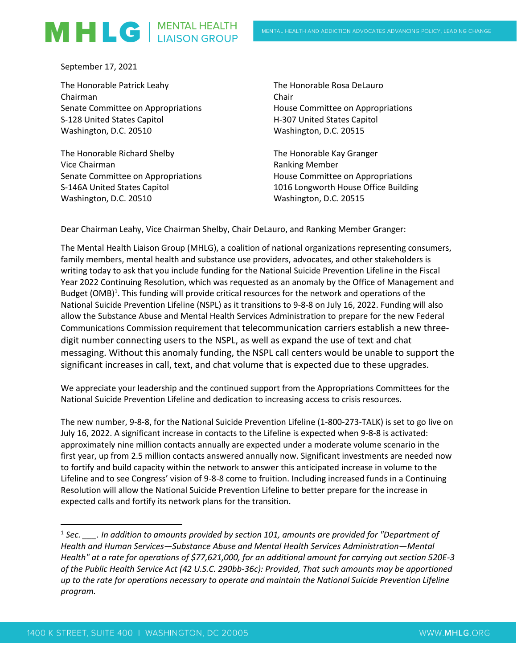## MHLG | MENTAL HEALTH

September 17, 2021

The Honorable Patrick Leahy Chairman Senate Committee on Appropriations S-128 United States Capitol Washington, D.C. 20510

The Honorable Richard Shelby Vice Chairman Senate Committee on Appropriations S-146A United States Capitol Washington, D.C. 20510

The Honorable Rosa DeLauro Chair House Committee on Appropriations H-307 United States Capitol Washington, D.C. 20515

The Honorable Kay Granger Ranking Member House Committee on Appropriations 1016 Longworth House Office Building Washington, D.C. 20515

Dear Chairman Leahy, Vice Chairman Shelby, Chair DeLauro, and Ranking Member Granger:

The Mental Health Liaison Group (MHLG), a coalition of national organizations representing consumers, family members, mental health and substance use providers, advocates, and other stakeholders is writing today to ask that you include funding for the National Suicide Prevention Lifeline in the Fiscal Year 2022 Continuing Resolution, which was requested as an anomaly by the Office of Management and Budget (OMB)<sup>1</sup>. This funding will provide critical resources for the network and operations of the National Suicide Prevention Lifeline (NSPL) as it transitions to 9-8-8 on July 16, 2022. Funding will also allow the Substance Abuse and Mental Health Services Administration to prepare for the new Federal Communications Commission requirement that telecommunication carriers establish a new threedigit number connecting users to the NSPL, as well as expand the use of text and chat messaging. Without this anomaly funding, the NSPL call centers would be unable to support the significant increases in call, text, and chat volume that is expected due to these upgrades.

We appreciate your leadership and the continued support from the Appropriations Committees for the National Suicide Prevention Lifeline and dedication to increasing access to crisis resources.

The new number, 9-8-8, for the National Suicide Prevention Lifeline (1-800-273-TALK) is set to go live on July 16, 2022. A significant increase in contacts to the Lifeline is expected when 9-8-8 is activated: approximately nine million contacts annually are expected under a moderate volume scenario in the first year, up from 2.5 million contacts answered annually now. Significant investments are needed now to fortify and build capacity within the network to answer this anticipated increase in volume to the Lifeline and to see Congress' vision of 9-8-8 come to fruition. Including increased funds in a Continuing Resolution will allow the National Suicide Prevention Lifeline to better prepare for the increase in expected calls and fortify its network plans for the transition.

<sup>&</sup>lt;sup>1</sup> Sec. \_\_\_\_. In addition to amounts provided by section 101, amounts are provided for "Department of *Health and Human Services—Substance Abuse and Mental Health Services Administration—Mental Health" at a rate for operations of \$77,621,000, for an additional amount for carrying out section 520E-3 of the Public Health Service Act (42 U.S.C. 290bb-36c): Provided, That such amounts may be apportioned up to the rate for operations necessary to operate and maintain the National Suicide Prevention Lifeline program.*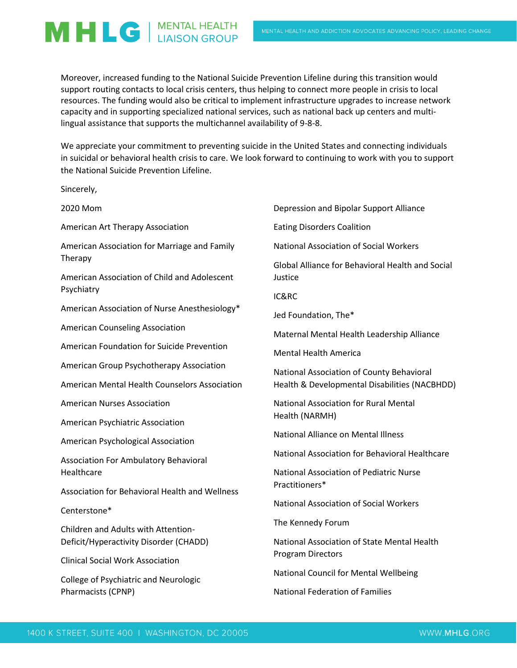MHLG | MENTAL HEALTH

**Sincerely** 

Moreover, increased funding to the National Suicide Prevention Lifeline during this transition would support routing contacts to local crisis centers, thus helping to connect more people in crisis to local resources. The funding would also be critical to implement infrastructure upgrades to increase network capacity and in supporting specialized national services, such as national back up centers and multilingual assistance that supports the multichannel availability of 9-8-8.

We appreciate your commitment to preventing suicide in the United States and connecting individuals in suicidal or behavioral health crisis to care. We look forward to continuing to work with you to support the National Suicide Prevention Lifeline.

| JII I LU LI V,                                                                                          |                                                                         |
|---------------------------------------------------------------------------------------------------------|-------------------------------------------------------------------------|
| 2020 Mom                                                                                                | Depression and Bipolar Support Alliance                                 |
| American Art Therapy Association                                                                        | <b>Eating Disorders Coalition</b>                                       |
| American Association for Marriage and Family<br>Therapy<br>American Association of Child and Adolescent | <b>National Association of Social Workers</b>                           |
|                                                                                                         | <b>Global Alliance for Behavioral Health and Social</b><br>Justice      |
| Psychiatry                                                                                              | IC&RC                                                                   |
| American Association of Nurse Anesthesiology*                                                           | Jed Foundation, The*                                                    |
| <b>American Counseling Association</b>                                                                  | Maternal Mental Health Leadership Alliance                              |
| American Foundation for Suicide Prevention                                                              | <b>Mental Health America</b>                                            |
| American Group Psychotherapy Association                                                                | National Association of County Behavioral                               |
| American Mental Health Counselors Association                                                           | Health & Developmental Disabilities (NACBHDD)                           |
| <b>American Nurses Association</b>                                                                      | National Association for Rural Mental                                   |
| American Psychiatric Association                                                                        | Health (NARMH)                                                          |
| American Psychological Association                                                                      | <b>National Alliance on Mental Illness</b>                              |
| <b>Association For Ambulatory Behavioral</b>                                                            | National Association for Behavioral Healthcare                          |
| Healthcare                                                                                              | National Association of Pediatric Nurse<br>Practitioners*               |
| <b>Association for Behavioral Health and Wellness</b>                                                   |                                                                         |
| Centerstone*                                                                                            | <b>National Association of Social Workers</b>                           |
| Children and Adults with Attention-                                                                     | The Kennedy Forum                                                       |
| Deficit/Hyperactivity Disorder (CHADD)                                                                  | National Association of State Mental Health<br><b>Program Directors</b> |
| <b>Clinical Social Work Association</b>                                                                 |                                                                         |
| College of Psychiatric and Neurologic                                                                   | <b>National Council for Mental Wellbeing</b>                            |

Pharmacists (CPNP)

National Federation of Families